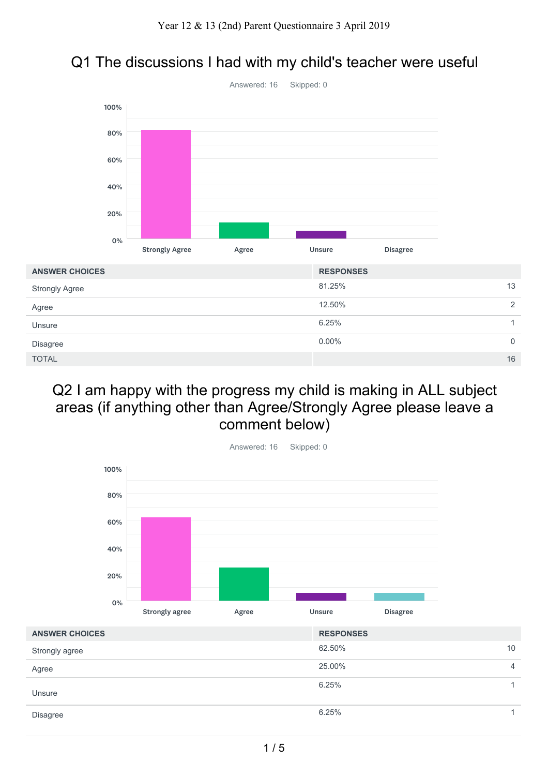### Q1 The discussions I had with my child's teacher were useful



#### Q2 I am happy with the progress my child is making in ALL subject areas (if anything other than Agree/Strongly Agree please leave a comment below)

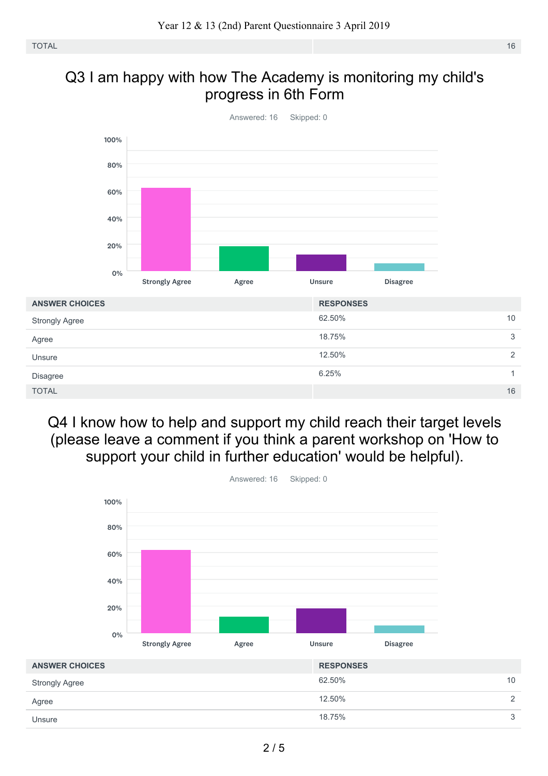#### Q3 I am happy with how The Academy is monitoring my child's progress in 6th Form



Q4 I know how to help and support my child reach their target levels (please leave a comment if you think a parent workshop on 'How to support your child in further education' would be helpful).

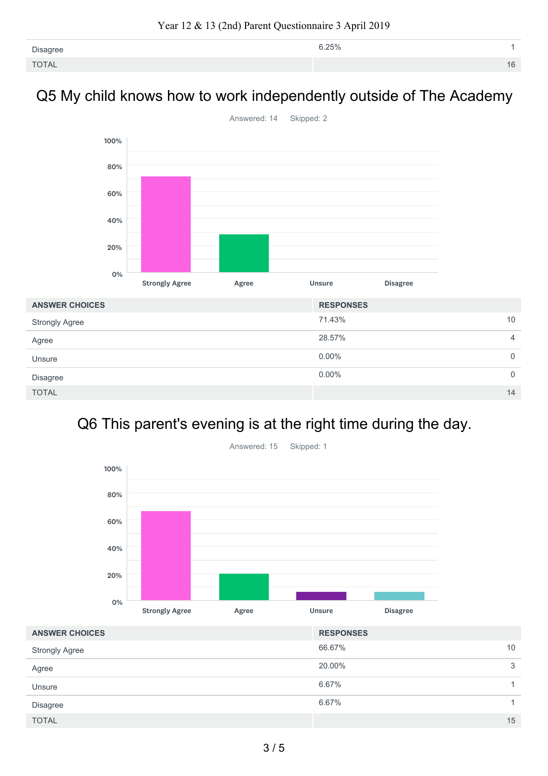| Disagree     | 6.25% |  |
|--------------|-------|--|
| <b>TOTAL</b> |       |  |

#### Q5 My child knows how to work independently outside of The Academy



## Q6 This parent's evening is at the right time during the day.



66.67% 10 20.00% 3 6.67% 1 6.67% 1  $\blacksquare$  TOTAL  $\blacksquare$  15  $\blacksquare$  15  $\blacksquare$  15  $\blacksquare$  15  $\blacksquare$  15  $\blacksquare$  15  $\blacksquare$  15  $\blacksquare$  15  $\blacksquare$  15  $\blacksquare$  15  $\blacksquare$  15  $\blacksquare$  15  $\blacksquare$  15  $\blacksquare$  15  $\blacksquare$  15  $\blacksquare$  15  $\blacksquare$  15  $\blacksquare$  15  $\blacksquare$  15  $\blacksquare$  15  $\blacksquare$  1 **ANSWER CHOICES RESPONSES** Strongly Agree Agree Unsure Disagree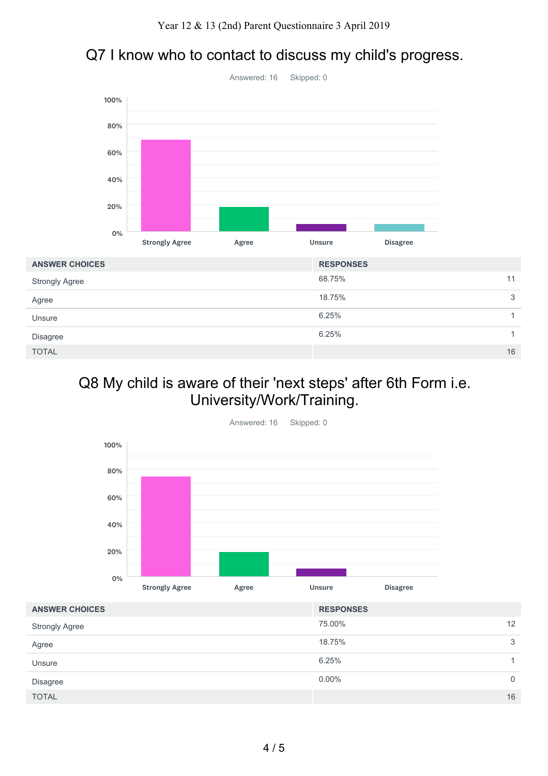## Q7 I know who to contact to discuss my child's progress.



| <b>ANSWER CHOICES</b> | <b>RESPONSES</b> |   |
|-----------------------|------------------|---|
| <b>Strongly Agree</b> | 68.75%<br>11     |   |
| Agree                 | 18.75%           | 3 |
| Unsure                | 6.25%            |   |
| Disagree              | 6.25%            |   |
| <b>TOTAL</b>          | 16               |   |

#### Q8 My child is aware of their 'next steps' after 6th Form i.e. University/Work/Training.



| <b>ANSWER CHOICES</b> | <b>RESPONSES</b> |    |
|-----------------------|------------------|----|
| <b>Strongly Agree</b> | 75.00%           | 12 |
| Agree                 | 18.75%           | 3  |
| Unsure                | 6.25%            |    |
| Disagree              | $0.00\%$         | 0  |
| <b>TOTAL</b>          |                  | 16 |